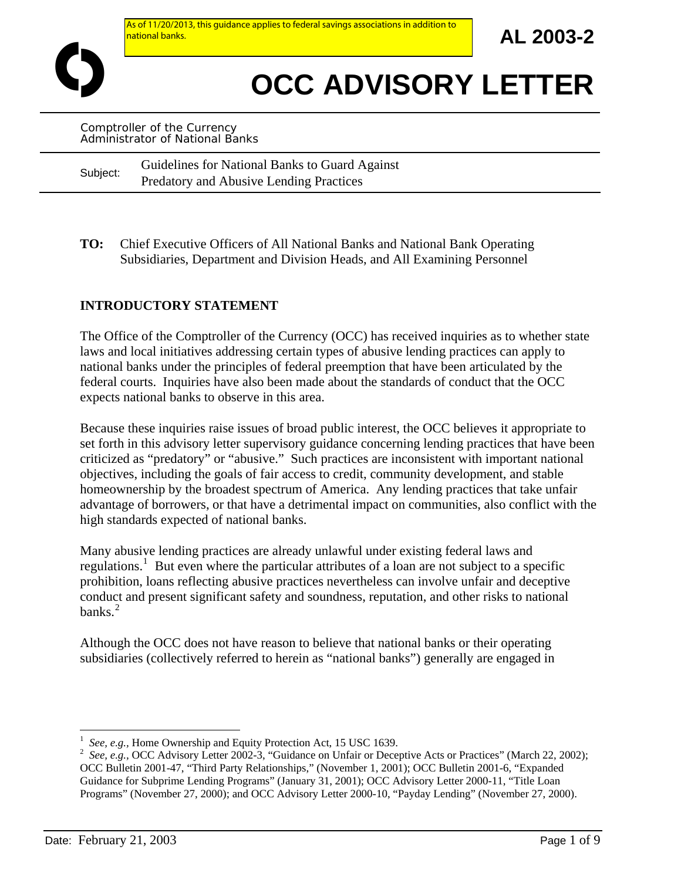As of 11/20/2013, this guidance applies to federal savings associations in addition to national banks.

**AL 2003-2**

# **OCC ADVISORY LETTER**

Comptroller of the Currency Administrator of National Banks

Subject: Guidelines for National Banks to Guard Against Predatory and Abusive Lending Practices

**TO:** Chief Executive Officers of All National Banks and National Bank Operating Subsidiaries, Department and Division Heads, and All Examining Personnel

## **INTRODUCTORY STATEMENT**

The Office of the Comptroller of the Currency (OCC) has received inquiries as to whether state laws and local initiatives addressing certain types of abusive lending practices can apply to national banks under the principles of federal preemption that have been articulated by the federal courts. Inquiries have also been made about the standards of conduct that the OCC expects national banks to observe in this area.

Because these inquiries raise issues of broad public interest, the OCC believes it appropriate to set forth in this advisory letter supervisory guidance concerning lending practices that have been criticized as "predatory" or "abusive." Such practices are inconsistent with important national objectives, including the goals of fair access to credit, community development, and stable homeownership by the broadest spectrum of America. Any lending practices that take unfair advantage of borrowers, or that have a detrimental impact on communities, also conflict with the high standards expected of national banks.

Many abusive lending practices are already unlawful under existing federal laws and regulations.<sup>[1](#page-0-0)</sup> But even where the particular attributes of a loan are not subject to a specific prohibition, loans reflecting abusive practices nevertheless can involve unfair and deceptive conduct and present significant safety and soundness, reputation, and other risks to national banks. $^{2}$  $^{2}$  $^{2}$ 

Although the OCC does not have reason to believe that national banks or their operating subsidiaries (collectively referred to herein as "national banks") generally are engaged in

1

<sup>&</sup>lt;sup>1</sup> See, e.g., Home Ownership and Equity Protection Act, 15 USC 1639.

<span id="page-0-1"></span><span id="page-0-0"></span><sup>&</sup>lt;sup>2</sup> See, e.g., OCC Advisory Letter 2002-3, "Guidance on Unfair or Deceptive Acts or Practices" (March 22, 2002); OCC Bulletin 2001-47, "Third Party Relationships," (November 1, 2001); OCC Bulletin 2001-6, "Expanded Guidance for Subprime Lending Programs" (January 31, 2001); OCC Advisory Letter 2000-11, "Title Loan Programs" (November 27, 2000); and OCC Advisory Letter 2000-10, "Payday Lending" (November 27, 2000).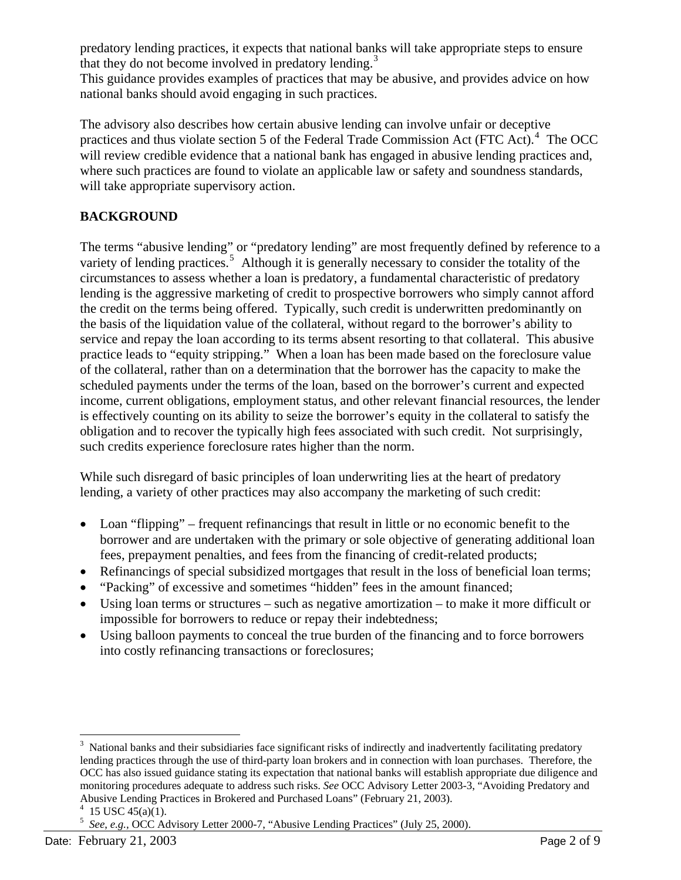predatory lending practices, it expects that national banks will take appropriate steps to ensure that they do not become involved in predatory lending.<sup>[3](#page-1-0)</sup>

This guidance provides examples of practices that may be abusive, and provides advice on how national banks should avoid engaging in such practices.

The advisory also describes how certain abusive lending can involve unfair or deceptive practices and thus violate section 5 of the Federal Trade Commission Act (FTC Act).<sup>[4](#page-1-1)</sup> The OCC will review credible evidence that a national bank has engaged in abusive lending practices and, where such practices are found to violate an applicable law or safety and soundness standards, will take appropriate supervisory action.

## **BACKGROUND**

The terms "abusive lending" or "predatory lending" are most frequently defined by reference to a variety of lending practices.<sup>[5](#page-1-2)</sup> Although it is generally necessary to consider the totality of the circumstances to assess whether a loan is predatory, a fundamental characteristic of predatory lending is the aggressive marketing of credit to prospective borrowers who simply cannot afford the credit on the terms being offered. Typically, such credit is underwritten predominantly on the basis of the liquidation value of the collateral, without regard to the borrower's ability to service and repay the loan according to its terms absent resorting to that collateral. This abusive practice leads to "equity stripping." When a loan has been made based on the foreclosure value of the collateral, rather than on a determination that the borrower has the capacity to make the scheduled payments under the terms of the loan, based on the borrower's current and expected income, current obligations, employment status, and other relevant financial resources, the lender is effectively counting on its ability to seize the borrower's equity in the collateral to satisfy the obligation and to recover the typically high fees associated with such credit. Not surprisingly, such credits experience foreclosure rates higher than the norm.

While such disregard of basic principles of loan underwriting lies at the heart of predatory lending, a variety of other practices may also accompany the marketing of such credit:

- Loan "flipping" frequent refinancings that result in little or no economic benefit to the borrower and are undertaken with the primary or sole objective of generating additional loan fees, prepayment penalties, and fees from the financing of credit-related products;
- Refinancings of special subsidized mortgages that result in the loss of beneficial loan terms;
- "Packing" of excessive and sometimes "hidden" fees in the amount financed;
- Using loan terms or structures such as negative amortization to make it more difficult or impossible for borrowers to reduce or repay their indebtedness;
- Using balloon payments to conceal the true burden of the financing and to force borrowers into costly refinancing transactions or foreclosures;

<span id="page-1-0"></span> $\overline{a}$ <sup>3</sup> National banks and their subsidiaries face significant risks of indirectly and inadvertently facilitating predatory lending practices through the use of third-party loan brokers and in connection with loan purchases. Therefore, the OCC has also issued guidance stating its expectation that national banks will establish appropriate due diligence and monitoring procedures adequate to address such risks. *See* OCC Advisory Letter 2003-3, "Avoiding Predatory and Abusive Lending Practices in Brokered and Purchased Loans" (February 21, 2003).

<sup>4</sup> 15 USC 45(a)(1).

<span id="page-1-2"></span><span id="page-1-1"></span><sup>5</sup> *See*, *e.g.,* OCC Advisory Letter 2000-7, "Abusive Lending Practices" (July 25, 2000).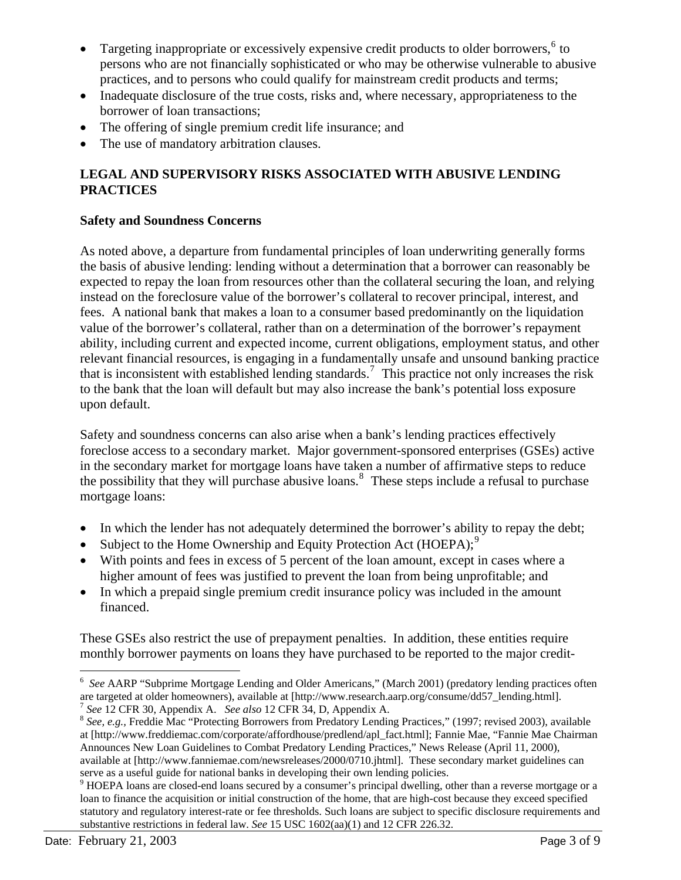- Targeting inappropriate or excessively expensive credit products to older borrowers,  $6$  to persons who are not financially sophisticated or who may be otherwise vulnerable to abusive practices, and to persons who could qualify for mainstream credit products and terms;
- Inadequate disclosure of the true costs, risks and, where necessary, appropriateness to the borrower of loan transactions;
- The offering of single premium credit life insurance; and
- The use of mandatory arbitration clauses.

## **LEGAL AND SUPERVISORY RISKS ASSOCIATED WITH ABUSIVE LENDING PRACTICES**

#### **Safety and Soundness Concerns**

As noted above, a departure from fundamental principles of loan underwriting generally forms the basis of abusive lending: lending without a determination that a borrower can reasonably be expected to repay the loan from resources other than the collateral securing the loan, and relying instead on the foreclosure value of the borrower's collateral to recover principal, interest, and fees. A national bank that makes a loan to a consumer based predominantly on the liquidation value of the borrower's collateral, rather than on a determination of the borrower's repayment ability, including current and expected income, current obligations, employment status, and other relevant financial resources, is engaging in a fundamentally unsafe and unsound banking practice that is inconsistent with established lending standards.<sup>[7](#page-2-1)</sup> This practice not only increases the risk to the bank that the loan will default but may also increase the bank's potential loss exposure upon default.

Safety and soundness concerns can also arise when a bank's lending practices effectively foreclose access to a secondary market. Major government-sponsored enterprises (GSEs) active in the secondary market for mortgage loans have taken a number of affirmative steps to reduce the possibility that they will purchase abusive loans.<sup>[8](#page-2-2)</sup> These steps include a refusal to purchase mortgage loans:

- In which the lender has not adequately determined the borrower's ability to repay the debt;
- Subject to the Home Ownership and Equity Protection Act (HOEPA); $\frac{9}{2}$  $\frac{9}{2}$  $\frac{9}{2}$
- With points and fees in excess of 5 percent of the loan amount, except in cases where a higher amount of fees was justified to prevent the loan from being unprofitable; and
- In which a prepaid single premium credit insurance policy was included in the amount financed.

These GSEs also restrict the use of prepayment penalties. In addition, these entities require monthly borrower payments on loans they have purchased to be reported to the major credit-

 $\overline{a}$ 

<span id="page-2-0"></span><sup>&</sup>lt;sup>6</sup> See AARP "Subprime Mortgage Lending and Older Americans," (March 2001) (predatory lending practices often are targeted at older homeowners), available at [http://www.research.aarp.org/consume/dd57\_lending.html].<br><sup>7</sup> See 12 CFR 30, Appendix A. See also 12 CFR 34, D, Appendix A.<br><sup>8</sup> See, e.g., Freddie Mac "Protecting Borrowers f

<span id="page-2-2"></span><span id="page-2-1"></span>at [http://www.freddiemac.com/corporate/affordhouse/predlend/apl\_fact.html]; Fannie Mae, "Fannie Mae Chairman Announces New Loan Guidelines to Combat Predatory Lending Practices," News Release (April 11, 2000), available at [http://www.fanniemae.com/newsreleases/2000/0710.jhtml]. These secondary market guidelines can serve as a useful guide for national banks in developing their own lending policies.

<span id="page-2-3"></span><sup>&</sup>lt;sup>9</sup> HOEPA loans are closed-end loans secured by a consumer's principal dwelling, other than a reverse mortgage or a loan to finance the acquisition or initial construction of the home, that are high-cost because they exceed specified statutory and regulatory interest-rate or fee thresholds. Such loans are subject to specific disclosure requirements and substantive restrictions in federal law. *See* 15 USC 1602(aa)(1) and 12 CFR 226.32.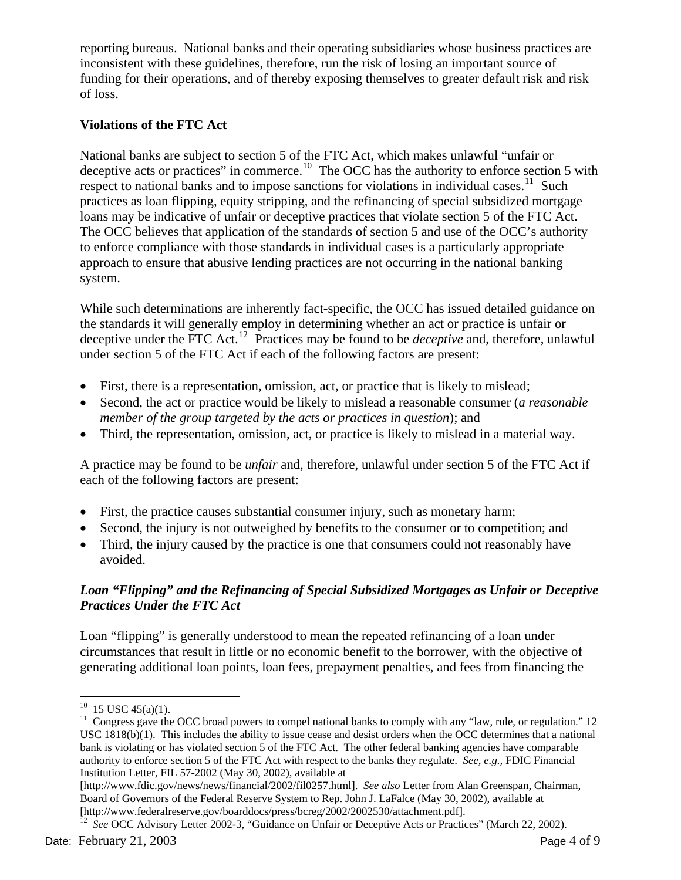reporting bureaus. National banks and their operating subsidiaries whose business practices are inconsistent with these guidelines, therefore, run the risk of losing an important source of funding for their operations, and of thereby exposing themselves to greater default risk and risk of loss.

#### **Violations of the FTC Act**

National banks are subject to section 5 of the FTC Act, which makes unlawful "unfair or deceptive acts or practices" in commerce.<sup>[10](#page-3-0)</sup> The OCC has the authority to enforce section 5 with respect to national banks and to impose sanctions for violations in individual cases.<sup>[11](#page-3-1)</sup> Such practices as loan flipping, equity stripping, and the refinancing of special subsidized mortgage loans may be indicative of unfair or deceptive practices that violate section 5 of the FTC Act. The OCC believes that application of the standards of section 5 and use of the OCC's authority to enforce compliance with those standards in individual cases is a particularly appropriate approach to ensure that abusive lending practices are not occurring in the national banking system.

While such determinations are inherently fact-specific, the OCC has issued detailed guidance on the standards it will generally employ in determining whether an act or practice is unfair or deceptive under the FTC Act.<sup>[12](#page-3-2)</sup> Practices may be found to be *deceptive* and, therefore, unlawful under section 5 of the FTC Act if each of the following factors are present:

- First, there is a representation, omission, act, or practice that is likely to mislead;
- Second, the act or practice would be likely to mislead a reasonable consumer (*a reasonable member of the group targeted by the acts or practices in question*); and
- Third, the representation, omission, act, or practice is likely to mislead in a material way.

A practice may be found to be *unfair* and, therefore, unlawful under section 5 of the FTC Act if each of the following factors are present:

- First, the practice causes substantial consumer injury, such as monetary harm;
- Second, the injury is not outweighed by benefits to the consumer or to competition; and
- Third, the injury caused by the practice is one that consumers could not reasonably have avoided.

## *Loan "Flipping" and the Refinancing of Special Subsidized Mortgages as Unfair or Deceptive Practices Under the FTC Act*

Loan "flipping" is generally understood to mean the repeated refinancing of a loan under circumstances that result in little or no economic benefit to the borrower, with the objective of generating additional loan points, loan fees, prepayment penalties, and fees from financing the

[http://www.fdic.gov/news/news/financial/2002/fil0257.html]. *See also* Letter from Alan Greenspan, Chairman, Board of Governors of the Federal Reserve System to Rep. John J. LaFalce (May 30, 2002), available at

<span id="page-3-2"></span>[http://www.federalreserve.gov/boarddocs/press/bcreg/2002/2002530/attachment.pdf]. 12 *See* OCC Advisory Letter 2002-3, "Guidance on Unfair or Deceptive Acts or Practices" (March 22, 2002).

<sup>1</sup>  $10$  15 USC 45(a)(1).

<span id="page-3-1"></span><span id="page-3-0"></span> $11$  Congress gave the OCC broad powers to compel national banks to comply with any "law, rule, or regulation." 12 USC 1818(b)(1). This includes the ability to issue cease and desist orders when the OCC determines that a national bank is violating or has violated section 5 of the FTC Act. The other federal banking agencies have comparable authority to enforce section 5 of the FTC Act with respect to the banks they regulate. *See, e.g.,* FDIC Financial Institution Letter, FIL 57-2002 (May 30, 2002), available at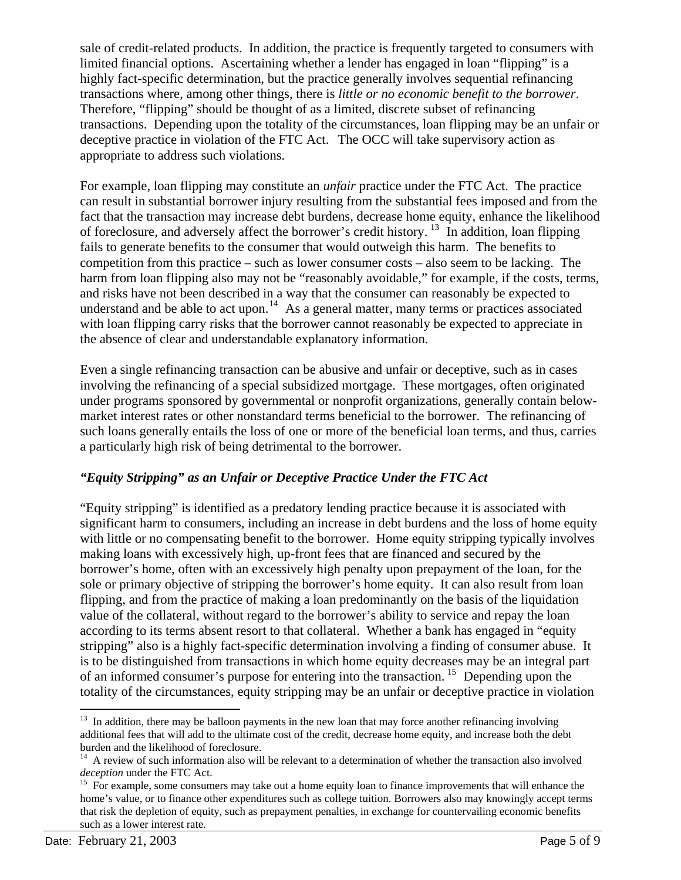sale of credit-related products. In addition, the practice is frequently targeted to consumers with limited financial options. Ascertaining whether a lender has engaged in loan "flipping" is a highly fact-specific determination, but the practice generally involves sequential refinancing transactions where, among other things, there is *little or no economic benefit to the borrower*. Therefore, "flipping" should be thought of as a limited, discrete subset of refinancing transactions. Depending upon the totality of the circumstances, loan flipping may be an unfair or deceptive practice in violation of the FTC Act. The OCC will take supervisory action as appropriate to address such violations.

For example, loan flipping may constitute an *unfair* practice under the FTC Act. The practice can result in substantial borrower injury resulting from the substantial fees imposed and from the fact that the transaction may increase debt burdens, decrease home equity, enhance the likelihood of foreclosure, and adversely affect the borrower's credit history. [13](#page-4-0) In addition, loan flipping fails to generate benefits to the consumer that would outweigh this harm. The benefits to competition from this practice – such as lower consumer costs – also seem to be lacking. The harm from loan flipping also may not be "reasonably avoidable," for example, if the costs, terms, and risks have not been described in a way that the consumer can reasonably be expected to understand and be able to act upon.<sup>[14](#page-4-1)</sup> As a general matter, many terms or practices associated with loan flipping carry risks that the borrower cannot reasonably be expected to appreciate in the absence of clear and understandable explanatory information.

Even a single refinancing transaction can be abusive and unfair or deceptive, such as in cases involving the refinancing of a special subsidized mortgage. These mortgages, often originated under programs sponsored by governmental or nonprofit organizations, generally contain belowmarket interest rates or other nonstandard terms beneficial to the borrower. The refinancing of such loans generally entails the loss of one or more of the beneficial loan terms, and thus, carries a particularly high risk of being detrimental to the borrower.

## *"Equity Stripping" as an Unfair or Deceptive Practice Under the FTC Act*

"Equity stripping" is identified as a predatory lending practice because it is associated with significant harm to consumers, including an increase in debt burdens and the loss of home equity with little or no compensating benefit to the borrower. Home equity stripping typically involves making loans with excessively high, up-front fees that are financed and secured by the borrower's home, often with an excessively high penalty upon prepayment of the loan, for the sole or primary objective of stripping the borrower's home equity. It can also result from loan flipping, and from the practice of making a loan predominantly on the basis of the liquidation value of the collateral, without regard to the borrower's ability to service and repay the loan according to its terms absent resort to that collateral. Whether a bank has engaged in "equity stripping" also is a highly fact-specific determination involving a finding of consumer abuse. It is to be distinguished from transactions in which home equity decreases may be an integral part of an informed consumer's purpose for entering into the transaction.<sup>[15](#page-4-2)</sup> Depending upon the totality of the circumstances, equity stripping may be an unfair or deceptive practice in violation

 $\overline{a}$ 

<span id="page-4-0"></span> $13$  In addition, there may be balloon payments in the new loan that may force another refinancing involving additional fees that will add to the ultimate cost of the credit, decrease home equity, and increase both the debt

<span id="page-4-1"></span> $\frac{14}{14}$  A review of such information also will be relevant to a determination of whether the transaction also involved *deception* under the FTC Act.

<span id="page-4-2"></span><sup>&</sup>lt;sup>15</sup> For example, some consumers may take out a home equity loan to finance improvements that will enhance the home's value, or to finance other expenditures such as college tuition. Borrowers also may knowingly accept terms that risk the depletion of equity, such as prepayment penalties, in exchange for countervailing economic benefits such as a lower interest rate.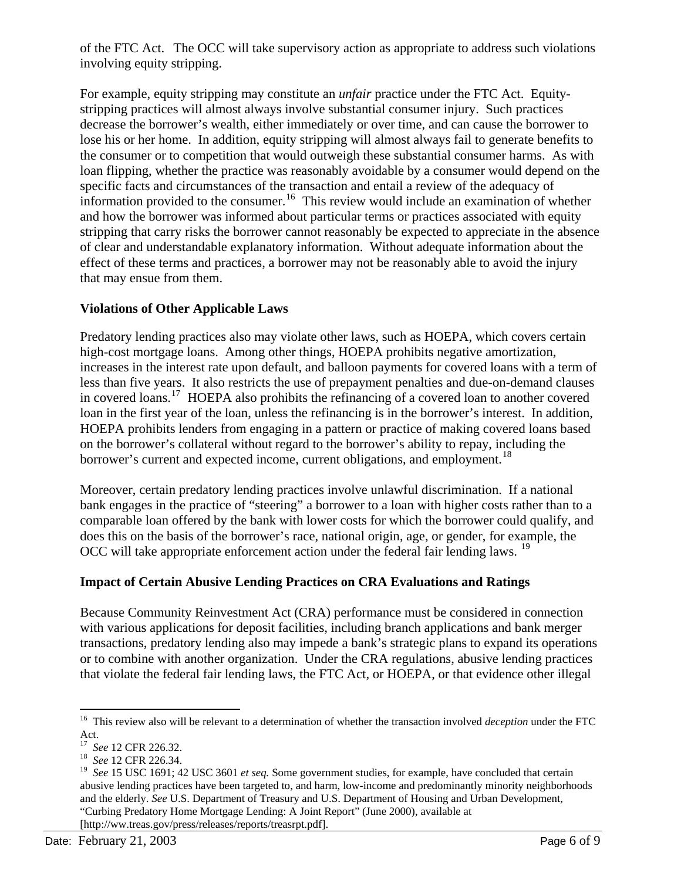of the FTC Act. The OCC will take supervisory action as appropriate to address such violations involving equity stripping.

For example, equity stripping may constitute an *unfair* practice under the FTC Act. Equitystripping practices will almost always involve substantial consumer injury. Such practices decrease the borrower's wealth, either immediately or over time, and can cause the borrower to lose his or her home. In addition, equity stripping will almost always fail to generate benefits to the consumer or to competition that would outweigh these substantial consumer harms. As with loan flipping, whether the practice was reasonably avoidable by a consumer would depend on the specific facts and circumstances of the transaction and entail a review of the adequacy of information provided to the consumer.<sup>[16](#page-5-0)</sup> This review would include an examination of whether and how the borrower was informed about particular terms or practices associated with equity stripping that carry risks the borrower cannot reasonably be expected to appreciate in the absence of clear and understandable explanatory information. Without adequate information about the effect of these terms and practices, a borrower may not be reasonably able to avoid the injury that may ensue from them.

#### **Violations of Other Applicable Laws**

Predatory lending practices also may violate other laws, such as HOEPA, which covers certain high-cost mortgage loans. Among other things, HOEPA prohibits negative amortization, increases in the interest rate upon default, and balloon payments for covered loans with a term of less than five years. It also restricts the use of prepayment penalties and due-on-demand clauses in covered loans.<sup>[17](#page-5-1)</sup> HOEPA also prohibits the refinancing of a covered loan to another covered loan in the first year of the loan, unless the refinancing is in the borrower's interest. In addition, HOEPA prohibits lenders from engaging in a pattern or practice of making covered loans based on the borrower's collateral without regard to the borrower's ability to repay, including the borrower's current and expected income, current obligations, and employment.<sup>[18](#page-5-2)</sup>

Moreover, certain predatory lending practices involve unlawful discrimination. If a national bank engages in the practice of "steering" a borrower to a loan with higher costs rather than to a comparable loan offered by the bank with lower costs for which the borrower could qualify, and does this on the basis of the borrower's race, national origin, age, or gender, for example, the OCC will take appropriate enforcement action under the federal fair lending laws. <sup>[19](#page-5-3)</sup>

## **Impact of Certain Abusive Lending Practices on CRA Evaluations and Ratings**

Because Community Reinvestment Act (CRA) performance must be considered in connection with various applications for deposit facilities, including branch applications and bank merger transactions, predatory lending also may impede a bank's strategic plans to expand its operations or to combine with another organization. Under the CRA regulations, abusive lending practices that violate the federal fair lending laws, the FTC Act, or HOEPA, or that evidence other illegal

<u>.</u>

<sup>&</sup>lt;sup>16</sup> This review also will be relevant to a determination of whether the transaction involved *deception* under the FTC

<span id="page-5-1"></span><span id="page-5-0"></span>Act.<br><sup>17</sup> See 12 CFR 226.32.

<span id="page-5-2"></span><sup>17</sup>*See* 12 CFR 226.32. 18 *See* 12 CFR 226.34.

<span id="page-5-3"></span><sup>19</sup> *See* 15 USC 1691; 42 USC 3601 *et seq.* Some government studies, for example, have concluded that certain abusive lending practices have been targeted to, and harm, low-income and predominantly minority neighborhoods and the elderly. *See* U.S. Department of Treasury and U.S. Department of Housing and Urban Development, "Curbing Predatory Home Mortgage Lending: A Joint Report" (June 2000), available at [http://ww.treas.gov/press/releases/reports/treasrpt.pdf].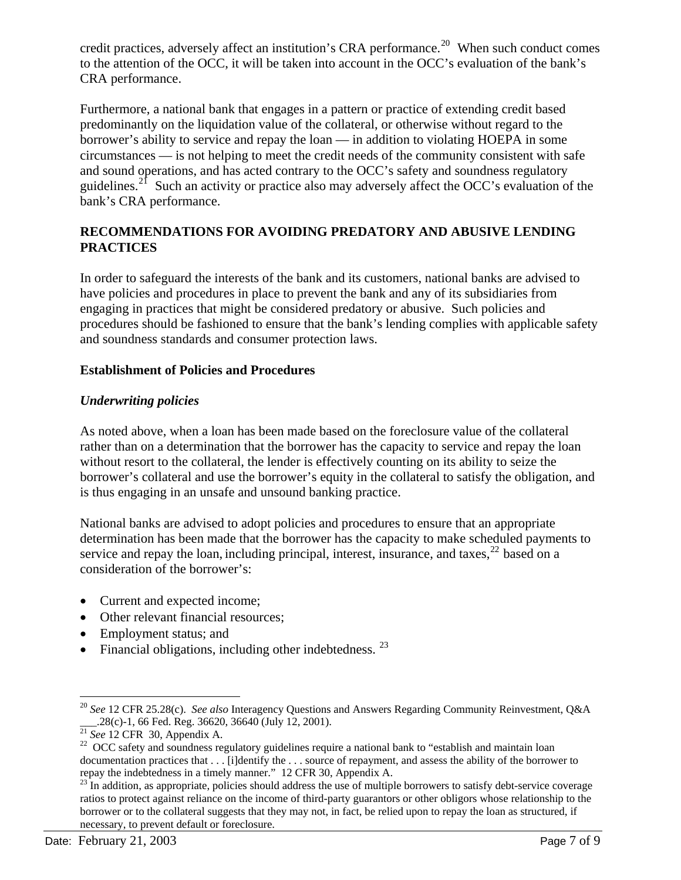credit practices, adversely affect an institution's CRA performance.<sup>[20](#page-6-0)</sup> When such conduct comes to the attention of the OCC, it will be taken into account in the OCC's evaluation of the bank's CRA performance.

Furthermore, a national bank that engages in a pattern or practice of extending credit based predominantly on the liquidation value of the collateral, or otherwise without regard to the borrower's ability to service and repay the loan — in addition to violating HOEPA in some circumstances — is not helping to meet the credit needs of the community consistent with safe and sound operations, and has acted contrary to the OCC's safety and soundness regulatory guidelines.<sup>[21](#page-6-1)</sup> Such an activity or practice also may adversely affect the OCC's evaluation of the bank's CRA performance.

#### **RECOMMENDATIONS FOR AVOIDING PREDATORY AND ABUSIVE LENDING PRACTICES**

In order to safeguard the interests of the bank and its customers, national banks are advised to have policies and procedures in place to prevent the bank and any of its subsidiaries from engaging in practices that might be considered predatory or abusive. Such policies and procedures should be fashioned to ensure that the bank's lending complies with applicable safety and soundness standards and consumer protection laws.

#### **Establishment of Policies and Procedures**

## *Underwriting policies*

As noted above, when a loan has been made based on the foreclosure value of the collateral rather than on a determination that the borrower has the capacity to service and repay the loan without resort to the collateral, the lender is effectively counting on its ability to seize the borrower's collateral and use the borrower's equity in the collateral to satisfy the obligation, and is thus engaging in an unsafe and unsound banking practice.

National banks are advised to adopt policies and procedures to ensure that an appropriate determination has been made that the borrower has the capacity to make scheduled payments to service and repay the loan, including principal, interest, insurance, and taxes, <sup>[22](#page-6-2)</sup> based on a consideration of the borrower's:

- Current and expected income;
- Other relevant financial resources;
- Employment status; and
- Financial obligations, including other indebtedness.  $^{23}$  $^{23}$  $^{23}$

<span id="page-6-0"></span> $\overline{a}$ <sup>20</sup> *See* 12 CFR 25.28(c). *See also* Interagency Questions and Answers Regarding Community Reinvestment, Q&A \_\_\_\_.28(c)-1, 66 Fed. Reg. 36620, 36640 (July 12, 2001).

<span id="page-6-2"></span><span id="page-6-1"></span><sup>29(</sup>c)-1, 66 Fed. Reg. 36620, 36640 (July 12, 2001).<br><sup>21</sup> *See* 12 CFR 30, Appendix A. <sup>22</sup> OCC safety and soundness regulatory guidelines require a national bank to "establish and maintain loan documentation practices that . . . [i]dentify the . . . source of repayment, and assess the ability of the borrower to repay the indebtedness in a timely manner." 12 CFR 30, Appendix A.

<span id="page-6-3"></span> $^{23}$  In addition, as appropriate, policies should address the use of multiple borrowers to satisfy debt-service coverage ratios to protect against reliance on the income of third-party guarantors or other obligors whose relationship to the borrower or to the collateral suggests that they may not, in fact, be relied upon to repay the loan as structured, if necessary, to prevent default or foreclosure.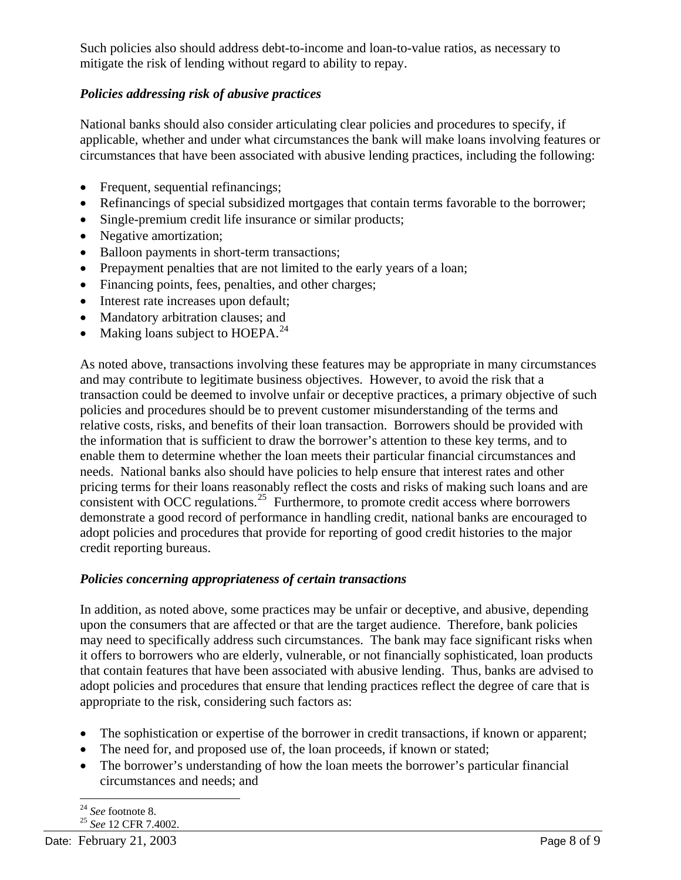Such policies also should address debt-to-income and loan-to-value ratios, as necessary to mitigate the risk of lending without regard to ability to repay.

#### *Policies addressing risk of abusive practices*

National banks should also consider articulating clear policies and procedures to specify, if applicable, whether and under what circumstances the bank will make loans involving features or circumstances that have been associated with abusive lending practices, including the following:

- Frequent, sequential refinancings;
- Refinancings of special subsidized mortgages that contain terms favorable to the borrower;
- Single-premium credit life insurance or similar products;
- Negative amortization;
- Balloon payments in short-term transactions;
- Prepayment penalties that are not limited to the early years of a loan;
- Financing points, fees, penalties, and other charges;
- Interest rate increases upon default;
- Mandatory arbitration clauses; and
- Making loans subject to HOEPA.<sup>[24](#page-7-0)</sup>

As noted above, transactions involving these features may be appropriate in many circumstances and may contribute to legitimate business objectives. However, to avoid the risk that a transaction could be deemed to involve unfair or deceptive practices, a primary objective of such policies and procedures should be to prevent customer misunderstanding of the terms and relative costs, risks, and benefits of their loan transaction. Borrowers should be provided with the information that is sufficient to draw the borrower's attention to these key terms, and to enable them to determine whether the loan meets their particular financial circumstances and needs. National banks also should have policies to help ensure that interest rates and other pricing terms for their loans reasonably reflect the costs and risks of making such loans and are consistent with OCC regulations.<sup>[25](#page-7-1)</sup> Furthermore, to promote credit access where borrowers demonstrate a good record of performance in handling credit, national banks are encouraged to adopt policies and procedures that provide for reporting of good credit histories to the major credit reporting bureaus.

#### *Policies concerning appropriateness of certain transactions*

In addition, as noted above, some practices may be unfair or deceptive, and abusive, depending upon the consumers that are affected or that are the target audience. Therefore, bank policies may need to specifically address such circumstances. The bank may face significant risks when it offers to borrowers who are elderly, vulnerable, or not financially sophisticated, loan products that contain features that have been associated with abusive lending. Thus, banks are advised to adopt policies and procedures that ensure that lending practices reflect the degree of care that is appropriate to the risk, considering such factors as:

- The sophistication or expertise of the borrower in credit transactions, if known or apparent;
- The need for, and proposed use of, the loan proceeds, if known or stated;
- The borrower's understanding of how the loan meets the borrower's particular financial circumstances and needs; and

 $24$  See footnote 8.

<span id="page-7-1"></span><span id="page-7-0"></span><sup>&</sup>lt;sup>25</sup> *See* 12 CFR 7.4002.